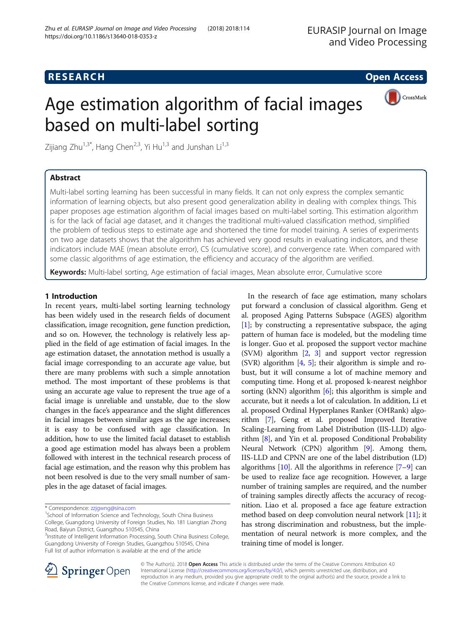# **RESEARCH CHE Open Access**



# Age estimation algorithm of facial images based on multi-label sorting

Zijiang Zhu<sup>1,3\*</sup>, Hang Chen<sup>2,3</sup>, Yi Hu<sup>1,3</sup> and Junshan Li<sup>1,3</sup>

# Abstract

Multi-label sorting learning has been successful in many fields. It can not only express the complex semantic information of learning objects, but also present good generalization ability in dealing with complex things. This paper proposes age estimation algorithm of facial images based on multi-label sorting. This estimation algorithm is for the lack of facial age dataset, and it changes the traditional multi-valued classification method, simplified the problem of tedious steps to estimate age and shortened the time for model training. A series of experiments on two age datasets shows that the algorithm has achieved very good results in evaluating indicators, and these indicators include MAE (mean absolute error), CS (cumulative score), and convergence rate. When compared with some classic algorithms of age estimation, the efficiency and accuracy of the algorithm are verified.

Keywords: Multi-label sorting, Age estimation of facial images, Mean absolute error, Cumulative score

# 1 Introduction

In recent years, multi-label sorting learning technology has been widely used in the research fields of document classification, image recognition, gene function prediction, and so on. However, the technology is relatively less applied in the field of age estimation of facial images. In the age estimation dataset, the annotation method is usually a facial image corresponding to an accurate age value, but there are many problems with such a simple annotation method. The most important of these problems is that using an accurate age value to represent the true age of a facial image is unreliable and unstable, due to the slow changes in the face's appearance and the slight differences in facial images between similar ages as the age increases; it is easy to be confused with age classification. In addition, how to use the limited facial dataset to establish a good age estimation model has always been a problem followed with interest in the technical research process of facial age estimation, and the reason why this problem has not been resolved is due to the very small number of samples in the age dataset of facial images.

In the research of face age estimation, many scholars put forward a conclusion of classical algorithm. Geng et al. proposed Aging Patterns Subspace (AGES) algorithm [[1\]](#page-8-0); by constructing a representative subspace, the aging pattern of human face is modeled, but the modeling time is longer. Guo et al. proposed the support vector machine (SVM) algorithm [[2](#page-8-0), [3\]](#page-8-0) and support vector regression (SVR) algorithm [\[4,](#page-8-0) [5\]](#page-8-0); their algorithm is simple and robust, but it will consume a lot of machine memory and computing time. Hong et al. proposed k-nearest neighbor sorting (kNN) algorithm [[6\]](#page-8-0); this algorithm is simple and accurate, but it needs a lot of calculation. In addition, Li et al. proposed Ordinal Hyperplanes Ranker (OHRank) algorithm [[7\]](#page-8-0), Geng et al. proposed Improved Iterative Scaling-Learning from Label Distribution (IIS-LLD) algorithm [[8](#page-8-0)], and Yin et al. proposed Conditional Probability Neural Network (CPN) algorithm [\[9\]](#page-8-0). Among them, IIS-LLD and CPNN are one of the label distribution (LD) algorithms  $[10]$  $[10]$  $[10]$ . All the algorithms in reference  $[7-9]$  $[7-9]$  $[7-9]$  $[7-9]$  $[7-9]$  can be used to realize face age recognition. However, a large number of training samples are required, and the number of training samples directly affects the accuracy of recognition. Liao et al. proposed a face age feature extraction method based on deep convolution neural network [\[11](#page-9-0)]; it has strong discrimination and robustness, but the implementation of neural network is more complex, and the training time of model is longer.



© The Author(s). 2018 Open Access This article is distributed under the terms of the Creative Commons Attribution 4.0 International License ([http://creativecommons.org/licenses/by/4.0/\)](http://creativecommons.org/licenses/by/4.0/), which permits unrestricted use, distribution, and reproduction in any medium, provided you give appropriate credit to the original author(s) and the source, provide a link to the Creative Commons license, and indicate if changes were made.

<sup>\*</sup> Correspondence: [zzjgwng@sina.com](mailto:zzjgwng@sina.com) <sup>1</sup>

<sup>&</sup>lt;sup>1</sup>School of Information Science and Technology, South China Business College, Guangdong University of Foreign Studies, No. 181 Liangtian Zhong Road, Baiyun District, Guangzhou 510545, China

<sup>&</sup>lt;sup>3</sup>Institute of Intelligent Information Processing, South China Business College, Guangdong University of Foreign Studies, Guangzhou 510545, China Full list of author information is available at the end of the article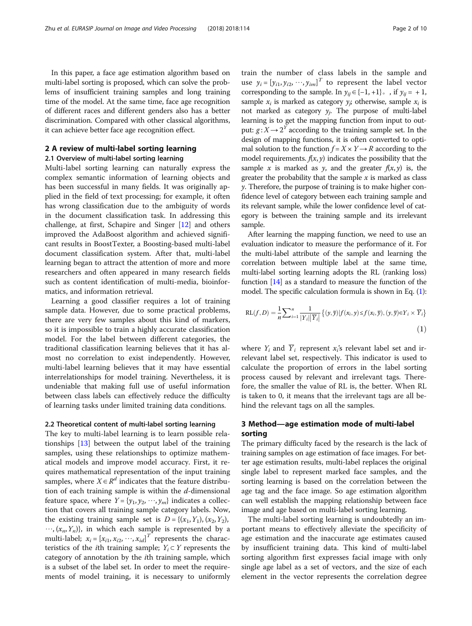In this paper, a face age estimation algorithm based on multi-label sorting is proposed, which can solve the problems of insufficient training samples and long training time of the model. At the same time, face age recognition of different races and different genders also has a better discrimination. Compared with other classical algorithms, it can achieve better face age recognition effect.

# 2 A review of multi-label sorting learning

# 2.1 Overview of multi-label sorting learning

Multi-label sorting learning can naturally express the complex semantic information of learning objects and has been successful in many fields. It was originally applied in the field of text processing; for example, it often has wrong classification due to the ambiguity of words in the document classification task. In addressing this challenge, at first, Schapire and Singer [\[12](#page-9-0)] and others improved the AdaBoost algorithm and achieved significant results in BoostTexter, a Boosting-based multi-label document classification system. After that, multi-label learning began to attract the attention of more and more researchers and often appeared in many research fields such as content identification of multi-media, bioinformatics, and information retrieval.

Learning a good classifier requires a lot of training sample data. However, due to some practical problems, there are very few samples about this kind of markers, so it is impossible to train a highly accurate classification model. For the label between different categories, the traditional classification learning believes that it has almost no correlation to exist independently. However, multi-label learning believes that it may have essential interrelationships for model training. Nevertheless, it is undeniable that making full use of useful information between class labels can effectively reduce the difficulty of learning tasks under limited training data conditions.

# 2.2 Theoretical content of multi-label sorting learning

The key to multi-label learning is to learn possible relationships [\[13](#page-9-0)] between the output label of the training samples, using these relationships to optimize mathematical models and improve model accuracy. First, it requires mathematical representation of the input training samples, where  $X \in \mathbb{R}^d$  indicates that the feature distribution of each training sample is within the  $d$ -dimensional feature space, where  $Y = \{y_1, y_2, \dots, y_m\}$  indicates a collection that covers all training sample category labels. Now, the existing training sample set is  $D = \{(x_1, Y_1), (x_2, Y_2),\}$  $..., (x_n, Y_n)$ , in which each sample is represented by a multi-label;  $x_i = [x_{i1}, x_{i2}, \dots, x_{id}]^T$  represents the characteristics of the *i*th training sample;  $Y_i \subset Y$  represents the category of annotation by the ith training sample, which is a subset of the label set. In order to meet the requirements of model training, it is necessary to uniformly

train the number of class labels in the sample and use  $y_i = [y_{i1}, y_{i2}, \dots, y_{im}]^T$  to represent the label vector corresponding to the sample. In  $\gamma_{ii} \in \{-1, +1\}$ , if  $\gamma_{ii} = +1$ , sample  $x_i$  is marked as category  $y_j$ ; otherwise, sample  $x_i$  is not marked as category  $y_j$ . The purpose of multi-label learning is to get the mapping function from input to output:  $g: X \rightarrow 2^Y$  according to the training sample set. In the design of mapping functions, it is often converted to optimal solution to the function  $f = X \times Y \rightarrow R$  according to the model requirements.  $f(x, y)$  indicates the possibility that the sample x is marked as y, and the greater  $f(x, y)$  is, the greater the probability that the sample  $x$  is marked as class y. Therefore, the purpose of training is to make higher confidence level of category between each training sample and its relevant sample, while the lower confidence level of category is between the training sample and its irrelevant sample.

After learning the mapping function, we need to use an evaluation indicator to measure the performance of it. For the multi-label attribute of the sample and learning the correlation between multiple label at the same time, multi-label sorting learning adopts the RL (ranking loss) function [\[14](#page-9-0)] as a standard to measure the function of the model. The specific calculation formula is shown in Eq. (1):

$$
RL(f, D) = \frac{1}{n} \sum_{i=1}^{n} \frac{1}{|Y_i| |\overline{Y}_i|} \{ (y, \overline{y}) | f(x_i, y) \le f(x_i, \overline{y}), (y, \overline{y}) \in Y_i \times \overline{Y}_i \}
$$
\n(1)

where  $Y_i$  and  $\overline{Y}_i$  represent  $x_i$ 's relevant label set and irrelevant label set, respectively. This indicator is used to calculate the proportion of errors in the label sorting process caused by relevant and irrelevant tags. Therefore, the smaller the value of RL is, the better. When RL is taken to 0, it means that the irrelevant tags are all behind the relevant tags on all the samples.

# 3 Method—age estimation mode of multi-label sorting

The primary difficulty faced by the research is the lack of training samples on age estimation of face images. For better age estimation results, multi-label replaces the original single label to represent marked face samples, and the sorting learning is based on the correlation between the age tag and the face image. So age estimation algorithm can well establish the mapping relationship between face image and age based on multi-label sorting learning.

The multi-label sorting learning is undoubtedly an important means to effectively alleviate the specificity of age estimation and the inaccurate age estimates caused by insufficient training data. This kind of multi-label sorting algorithm first expresses facial image with only single age label as a set of vectors, and the size of each element in the vector represents the correlation degree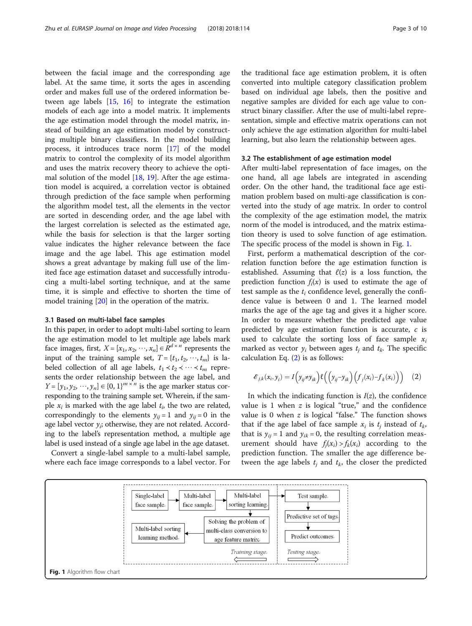<span id="page-2-0"></span>between the facial image and the corresponding age label. At the same time, it sorts the ages in ascending order and makes full use of the ordered information between age labels [\[15](#page-9-0), [16\]](#page-9-0) to integrate the estimation models of each age into a model matrix. It implements the age estimation model through the model matrix, instead of building an age estimation model by constructing multiple binary classifiers. In the model building process, it introduces trace norm [\[17](#page-9-0)] of the model matrix to control the complexity of its model algorithm and uses the matrix recovery theory to achieve the optimal solution of the model  $[18, 19]$  $[18, 19]$  $[18, 19]$  $[18, 19]$ . After the age estimation model is acquired, a correlation vector is obtained through prediction of the face sample when performing the algorithm model test, all the elements in the vector are sorted in descending order, and the age label with the largest correlation is selected as the estimated age, while the basis for selection is that the larger sorting value indicates the higher relevance between the face image and the age label. This age estimation model shows a great advantage by making full use of the limited face age estimation dataset and successfully introducing a multi-label sorting technique, and at the same time, it is simple and effective to shorten the time of model training [\[20\]](#page-9-0) in the operation of the matrix.

# 3.1 Based on multi-label face samples

In this paper, in order to adopt multi-label sorting to learn the age estimation model to let multiple age labels mark face images, first,  $X = [x_1, x_2, \dots, x_n] \in \mathbb{R}^{d \times n}$  represents the input of the training sample set,  $T = \{t_1, t_2, \dots, t_m\}$  is labeled collection of all age labels,  $t_1 \lt t_2 \lt \cdots \lt t_m$  represents the order relationship between the age label, and  $Y = [y_1, y_2, \dots, y_n] \in \{0, 1\}^{m \times n}$  is the age marker status corresponding to the training sample set. Wherein, if the sample  $x_i$  is marked with the age label  $t_i$ , the two are related, correspondingly to the elements  $y_{ii} = 1$  and  $y_{ii} = 0$  in the age label vector  $y_i$ ; otherwise, they are not related. According to the label's representation method, a multiple age label is used instead of a single age label in the age dataset.

Convert a single-label sample to a multi-label sample, where each face image corresponds to a label vector. For

the traditional face age estimation problem, it is often converted into multiple category classification problem based on individual age labels, then the positive and negative samples are divided for each age value to construct binary classifier. After the use of multi-label representation, simple and effective matrix operations can not only achieve the age estimation algorithm for multi-label learning, but also learn the relationship between ages.

# 3.2 The establishment of age estimation model

After multi-label representation of face images, on the one hand, all age labels are integrated in ascending order. On the other hand, the traditional face age estimation problem based on multi-age classification is converted into the study of age matrix. In order to control the complexity of the age estimation model, the matrix norm of the model is introduced, and the matrix estimation theory is used to solve function of age estimation. The specific process of the model is shown in Fig. 1.

First, perform a mathematical description of the correlation function before the age estimation function is established. Assuming that  $\ell(z)$  is a loss function, the prediction function  $f_i(x)$  is used to estimate the age of test sample as the  $t_i$  confidence level, generally the confidence value is between 0 and 1. The learned model marks the age of the age tag and gives it a higher score. In order to measure whether the predicted age value predicted by age estimation function is accurate,  $c$  is used to calculate the sorting loss of face sample  $x_i$ marked as vector  $y_i$  between ages  $t_i$  and  $t_k$ . The specific calculation Eq. (2) is as follows:

$$
\mathcal{E}_{j,k}(x_i, y_i) = I\left(y_{ij} \neq y_{ik}\right) \ell\left(\left(y_{ij} - y_{ik}\right)\left(f_j(x_i) - f_k(x_i)\right)\right) \quad (2)
$$

In which the indicating function is  $I(z)$ , the confidence value is 1 when  $z$  is logical "true," and the confidence value is 0 when  $z$  is logical "false." The function shows that if the age label of face sample  $x_i$  is  $t_i$  instead of  $t_k$ , that is  $y_{ii} = 1$  and  $y_{ik} = 0$ , the resulting correlation measurement should have  $f_i(x_i) > f_k(x_i)$  according to the prediction function. The smaller the age difference between the age labels  $t_i$  and  $t_k$ , the closer the predicted

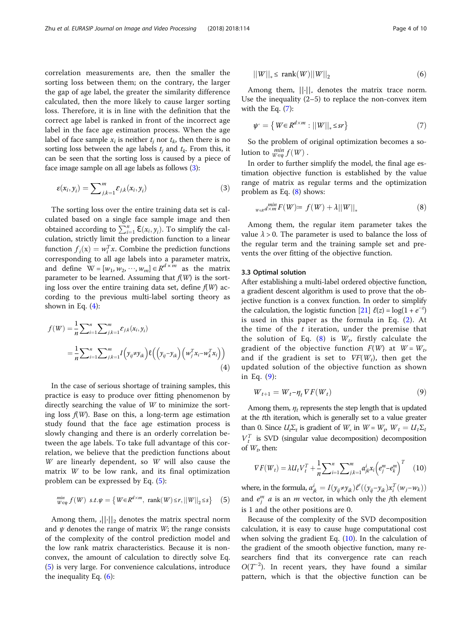<span id="page-3-0"></span>correlation measurements are, then the smaller the sorting loss between them; on the contrary, the larger the gap of age label, the greater the similarity difference calculated, then the more likely to cause larger sorting loss. Therefore, it is in line with the definition that the correct age label is ranked in front of the incorrect age label in the face age estimation process. When the age label of face sample  $x_i$  is neither  $t_i$  nor  $t_k$ , then there is no sorting loss between the age labels  $t_i$  and  $t_k$ . From this, it can be seen that the sorting loss is caused by a piece of face image sample on all age labels as follows (3):

$$
\varepsilon(x_i, y_i) = \sum_{j,k=1}^m \varepsilon_{j,k}(x_i, y_i)
$$
\n(3)

The sorting loss over the entire training data set is calculated based on a single face sample image and then obtained according to  $\sum_{i=1}^{n} \mathbf{E}(x_i, y_i)$ . To simplify the cal-<br>culation strictly limit the prodiction function to a linear culation, strictly limit the prediction function to a linear function  $f_i(x) = w_i^T x$ . Combine the prediction functions corresponding to all age labels into a parameter matrix corresponding to all age labels into a parameter matrix, and define  $W = [w_1, w_2, \dots, w_m] \in R^{d \times m}$  as the matrix parameter to be learned. Assuming that  $f(W)$  is the sorting loss over the entire training data set, define  $f(W)$  according to the previous multi-label sorting theory as shown in Eq.  $(4)$ :

$$
f(W) = \frac{1}{n} \sum_{i=1}^{n} \sum_{j,k=1}^{m} \varepsilon_{j,k}(x_i, y_i)
$$
  
= 
$$
\frac{1}{n} \sum_{i=1}^{n} \sum_{j,k=1}^{m} I(y_{ij} \neq y_{ik}) \ell((y_{ij} - y_{ik})(w_j^T x_i - w_k^T x_i))
$$
  
(4)

In the case of serious shortage of training samples, this practice is easy to produce over fitting phenomenon by directly searching the value of W to minimize the sorting loss  $f(W)$ . Base on this, a long-term age estimation study found that the face age estimation process is slowly changing and there is an orderly correlation between the age labels. To take full advantage of this correlation, we believe that the prediction functions about  $W$  are linearly dependent, so  $W$  will also cause the matrix W to be low rank, and its final optimization problem can be expressed by Eq. (5):

$$
\min_{W \in \Psi} f(W) \quad s.t. \psi = \left\{ W \in R^{d \times m}, \text{ rank}(W) \le r, ||W||_2 \le s \right\} \tag{5}
$$

Among them,  $||\cdot||_2$  denotes the matrix spectral norm and  $\psi$  denotes the range of matrix W; the range consists of the complexity of the control prediction model and the low rank matrix characteristics. Because it is nonconvex, the amount of calculation to directly solve Eq. (5) is very large. For convenience calculations, introduce the inequality Eq.  $(6)$ :

$$
||W||_* \le \operatorname{rank}(W)||W||_2 \tag{6}
$$

Among them, ||·||<sup>∗</sup> denotes the matrix trace norm. Use the inequality  $(2-5)$  to replace the non-convex item with the Eq. (7):

$$
\psi = \{ W \in R^{d \times m} : ||W||_{*} \leq sr \}
$$
 (7)

So the problem of original optimization becomes a solution to  $\frac{min}{W \in \Psi} f(W)$ .

In order to further simplify the model, the final age estimation objective function is established by the value range of matrix as regular terms and the optimization problem as Eq. (8) shows:

$$
\lim_{W \in \mathbb{R}} d_{\times m}^{min} F(W) = f(W) + \lambda ||W||_* \tag{8}
$$

Among them, the regular item parameter takes the value  $\lambda > 0$ . The parameter is used to balance the loss of the regular term and the training sample set and prevents the over fitting of the objective function.

# 3.3 Optimal solution

After establishing a multi-label ordered objective function, a gradient descent algorithm is used to prove that the objective function is a convex function. In order to simplify the calculation, the logistic function [\[21\]](#page-9-0)  $\ell(z) = \log(1 + e^{-z})$ is used in this paper as the formula in Eq. ([2](#page-2-0)). At the time of the  $t$  iteration, under the premise that the solution of Eq. (8) is  $W_t$ , firstly calculate the gradient of the objective function  $F(W)$  at  $W = W_t$ , and if the gradient is set to  $\nabla F(W_t)$ , then get the updated solution of the objective function as shown in Eq. (9):

$$
W_{t+1} = W_t - \eta_t \nabla F(W_t) \tag{9}
$$

Among them,  $\eta_t$  represents the step length that is updated at the tth iteration, which is generally set to a value greater than 0. Since  $U_t \Sigma_t$  is gradient of  $W_*$  in  $W = W_t$ ,  $W_t = U_t \Sigma_t$  $V_t^T$  is SVD (singular value decomposition) decomposition of  $W_t$ , then:

$$
\nabla F(W_t) = \lambda U_t V_t^T + \frac{1}{n} \sum_{i=1}^n \sum_{j,k=1}^m \alpha_{jk}^i x_i \left( e_j^m - e_k^m \right)^T \quad (10)
$$

where, in the formula,  $\alpha_{jk}^i = I(y_{ij} \neq y_{ik}) \ell'((y_{ij} - y_{ik}) x_i^T(w_j - w_k))$ and  $e_j^m$  a is an m vector, in which only the jth element is 1 and the other positions are 0.

Because of the complexity of the SVD decomposition calculation, it is easy to cause huge computational cost when solving the gradient Eq. (10). In the calculation of the gradient of the smooth objective function, many researchers find that its convergence rate can reach  $O(T^{-2})$ . In recent years, they have found a similar pattern, which is that the objective function can be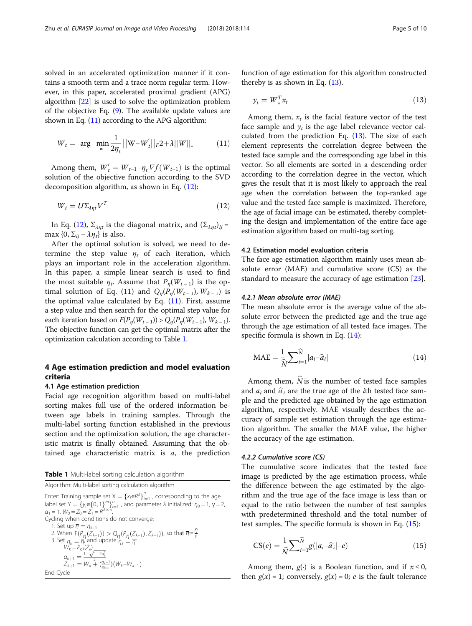solved in an accelerated optimization manner if it contains a smooth term and a trace norm regular term. However, in this paper, accelerated proximal gradient (APG) algorithm [\[22\]](#page-9-0) is used to solve the optimization problem of the objective Eq. [\(9](#page-3-0)). The available update values are shown in Eq. (11) according to the APG algorithm:

$$
W_t = \arg \min_{w} \frac{1}{2\eta_t} ||W - W'_t||_F 2 + \lambda ||W||_* \tag{11}
$$

Among them,  $W'_t = W_{t-1} - \eta_t \nabla f(W_{t-1})$  is the optimal<br>lution of the objective function according to the SVD solution of the objective function according to the SVD decomposition algorithm, as shown in Eq. (12):

$$
W_t = U \Sigma_{\lambda \eta t} V^T \tag{12}
$$

In Eq. (12),  $\Sigma_{\lambda nt}$  is the diagonal matrix, and  $(\Sigma_{\lambda nt})_{ii}$  = max {0,  $\Sigma_{ii} - \lambda \eta_t$ } is also.

After the optimal solution is solved, we need to determine the step value  $\eta_t$  of each iteration, which plays an important role in the acceleration algorithm. In this paper, a simple linear search is used to find the most suitable  $\eta_t$ . Assume that  $P_n(W_{t-1})$  is the optimal solution of Eq. (11) and  $Q_{\eta}(P_{\eta}(W_{t-1}), W_{k-1})$  is the optimal value calculated by Eq.  $(11)$ . First, assume a step value and then search for the optimal step value for each iteration based on  $F(P_n(W_{t-1})) > Q_n(P_n(W_{t-1}), W_{k-1}).$ The objective function can get the optimal matrix after the optimization calculation according to Table 1.

# 4 Age estimation prediction and model evaluation criteria

# 4.1 Age estimation prediction

Facial age recognition algorithm based on multi-label sorting makes full use of the ordered information between age labels in training samples. Through the multi-label sorting function established in the previous section and the optimization solution, the age characteristic matrix is finally obtained. Assuming that the obtained age characteristic matrix is  $a$ , the prediction

|  | Table 1 Multi-label sorting calculation algorithm |  |  |  |
|--|---------------------------------------------------|--|--|--|
|--|---------------------------------------------------|--|--|--|

Algorithm: Multi-label sorting calculation algorithm Enter: Training sample set  $X = \{x_i \in R^d\}_{i=1}^n$ <br>label set  $X = \{x_i \in R^d, 1\}_{i=1}^m$  and para  $\sum_{i=1}^{1}$  , corresponding to the age<br>comptor  $\lambda$  initialized:  $n = 1$   $\lambda = 1$ label set Y =  $\{y_j \in \{0, 1\}^m\}_{j=1}^n$ , and parameter  $\lambda$  initialized:  $\eta_0 = 1$ ,  $\gamma = 2$ ,  $\alpha_1 = 1$ ,  $W_0 = Z_0 = Z_1 = R^{d' \times n}$ . . Cycling when conditions do not converge:<br>1. Set up  $\overline{\eta} = \eta_{k-1}$ 1. Set up  $\overline{\eta} = \eta_{k-1}$ <br>2. When  $F(P_{\overline{\eta}}(Z_{k-1})) > Q_{\overline{\eta}}(P_{\overline{\eta}}(Z_{k-1}), Z_{k-1})$ , so that  $\overline{\eta} = \frac{\overline{\eta}}{\overline{\eta}}$ <br>3. Set  $\eta_k = \overline{\eta}$ , and update  $\eta_k = \overline{\eta}$ :<br> $W_k = P_{\text{rel}}(Z_k)$  $W_k^k = P_{nk}(Z_k)$  $a_{k+1} = \frac{1+\sqrt{1+4a_k^2}}{2}$ <br>  $Z_{k+1} = W_k + \left(\frac{a_k-1}{a_{k+1}}\right)(W_k-W_{k-1})$ End Cycle

function of age estimation for this algorithm constructed thereby is as shown in Eq. (13).

$$
y_t = W_*^T x_t \tag{13}
$$

Among them,  $x_t$  is the facial feature vector of the test face sample and  $y_t$  is the age label relevance vector calculated from the prediction Eq. (13). The size of each element represents the correlation degree between the tested face sample and the corresponding age label in this vector. So all elements are sorted in a descending order according to the correlation degree in the vector, which gives the result that it is most likely to approach the real age when the correlation between the top-ranked age value and the tested face sample is maximized. Therefore, the age of facial image can be estimated, thereby completing the design and implementation of the entire face age estimation algorithm based on multi-tag sorting.

# 4.2 Estimation model evaluation criteria

The face age estimation algorithm mainly uses mean absolute error (MAE) and cumulative score (CS) as the standard to measure the accuracy of age estimation [[23\]](#page-9-0).

# 4.2.1 Mean absolute error (MAE)

The mean absolute error is the average value of the absolute error between the predicted age and the true age through the age estimation of all tested face images. The specific formula is shown in Eq.  $(14)$ :

$$
\text{MAE} = \frac{1}{\hat{N}} \sum_{i=1}^{\hat{N}} |a_i - \hat{a}_i| \tag{14}
$$

Among them,  $N$  is the number of tested face samples and  $a_i$  and  $\hat{a}_i$  are the true age of the *i*th tested face sample and the predicted age obtained by the age estimation algorithm, respectively. MAE visually describes the accuracy of sample set estimation through the age estimation algorithm. The smaller the MAE value, the higher the accuracy of the age estimation.

# 4.2.2 Cumulative score (CS)

The cumulative score indicates that the tested face image is predicted by the age estimation process, while the difference between the age estimated by the algorithm and the true age of the face image is less than or equal to the ratio between the number of test samples with predetermined threshold and the total number of test samples. The specific formula is shown in Eq. (15):

$$
\text{CS}(e) = \frac{1}{\hat{N}} \sum_{i=1}^{\hat{N}} g(|a_i - \hat{a}_i| - e)
$$
\n(15)

Among them,  $g(\cdot)$  is a Boolean function, and if  $x \le 0$ , then  $g(x) = 1$ ; conversely,  $g(x) = 0$ ; e is the fault tolerance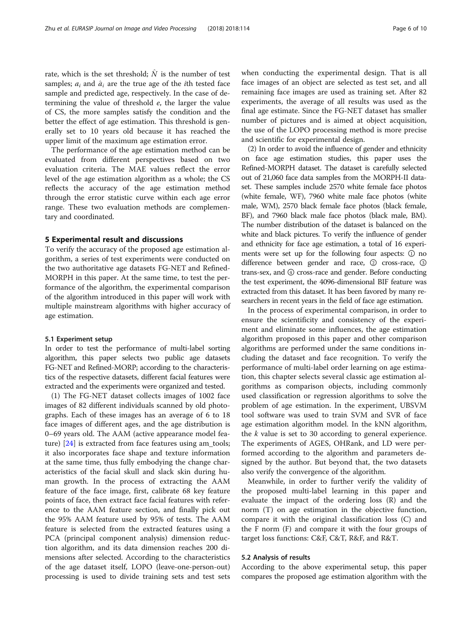rate, which is the set threshold;  $\hat{N}$  is the number of test samples;  $a_i$  and  $\hat{a}_i$  are the true age of the *i*th tested face sample and predicted age, respectively. In the case of determining the value of threshold e, the larger the value of CS, the more samples satisfy the condition and the better the effect of age estimation. This threshold is generally set to 10 years old because it has reached the upper limit of the maximum age estimation error.

The performance of the age estimation method can be evaluated from different perspectives based on two evaluation criteria. The MAE values reflect the error level of the age estimation algorithm as a whole; the CS reflects the accuracy of the age estimation method through the error statistic curve within each age error range. These two evaluation methods are complementary and coordinated.

#### 5 Experimental result and discussions

To verify the accuracy of the proposed age estimation algorithm, a series of test experiments were conducted on the two authoritative age datasets FG-NET and Refined-MORPH in this paper. At the same time, to test the performance of the algorithm, the experimental comparison of the algorithm introduced in this paper will work with multiple mainstream algorithms with higher accuracy of age estimation.

#### 5.1 Experiment setup

In order to test the performance of multi-label sorting algorithm, this paper selects two public age datasets FG-NET and Refined-MORP; according to the characteristics of the respective datasets, different facial features were extracted and the experiments were organized and tested.

(1) The FG-NET dataset collects images of 1002 face images of 82 different individuals scanned by old photographs. Each of these images has an average of 6 to 18 face images of different ages, and the age distribution is 0–69 years old. The AAM (active appearance model feature) [[24\]](#page-9-0) is extracted from face features using am\_tools; it also incorporates face shape and texture information at the same time, thus fully embodying the change characteristics of the facial skull and slack skin during human growth. In the process of extracting the AAM feature of the face image, first, calibrate 68 key feature points of face, then extract face facial features with reference to the AAM feature section, and finally pick out the 95% AAM feature used by 95% of tests. The AAM feature is selected from the extracted features using a PCA (principal component analysis) dimension reduction algorithm, and its data dimension reaches 200 dimensions after selected. According to the characteristics of the age dataset itself, LOPO (leave-one-person-out) processing is used to divide training sets and test sets when conducting the experimental design. That is all face images of an object are selected as test set, and all remaining face images are used as training set. After 82 experiments, the average of all results was used as the final age estimate. Since the FG-NET dataset has smaller number of pictures and is aimed at object acquisition, the use of the LOPO processing method is more precise and scientific for experimental design.

(2) In order to avoid the influence of gender and ethnicity on face age estimation studies, this paper uses the Refined-MORPH dataset. The dataset is carefully selected out of 21,060 face data samples from the MORPH-II dataset. These samples include 2570 white female face photos (white female, WF), 7960 white male face photos (white male, WM), 2570 black female face photos (black female, BF), and 7960 black male face photos (black male, BM). The number distribution of the dataset is balanced on the white and black pictures. To verify the influence of gender and ethnicity for face age estimation, a total of 16 experiments were set up for the following four aspects: ① no difference between gender and race, ② cross-race, ③ trans-sex, and ④ cross-race and gender. Before conducting the test experiment, the 4096-dimensional BIF feature was extracted from this dataset. It has been favored by many researchers in recent years in the field of face age estimation.

In the process of experimental comparison, in order to ensure the scientificity and consistency of the experiment and eliminate some influences, the age estimation algorithm proposed in this paper and other comparison algorithms are performed under the same conditions including the dataset and face recognition. To verify the performance of multi-label order learning on age estimation, this chapter selects several classic age estimation algorithms as comparison objects, including commonly used classification or regression algorithms to solve the problem of age estimation. In the experiment, UBSVM tool software was used to train SVM and SVR of face age estimation algorithm model. In the kNN algorithm, the  $k$  value is set to 30 according to general experience. The experiments of AGES, OHRank, and LD were performed according to the algorithm and parameters designed by the author. But beyond that, the two datasets also verify the convergence of the algorithm.

Meanwhile, in order to further verify the validity of the proposed multi-label learning in this paper and evaluate the impact of the ordering loss (R) and the norm (T) on age estimation in the objective function, compare it with the original classification loss (C) and the F norm (F) and compare it with the four groups of target loss functions: C&F, C&T, R&F, and R&T.

# 5.2 Analysis of results

According to the above experimental setup, this paper compares the proposed age estimation algorithm with the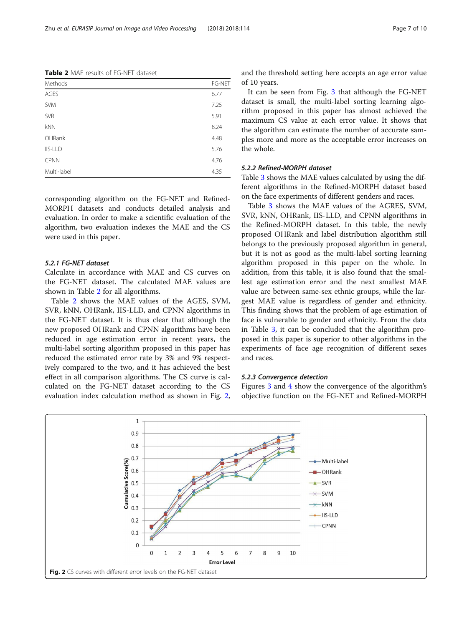|  | <b>Table 2</b> MAE results of FG-NET dataset |
|--|----------------------------------------------|
|--|----------------------------------------------|

| Methods        | FG-NET |
|----------------|--------|
| AGES           | 6.77   |
| <b>SVM</b>     | 7.25   |
| <b>SVR</b>     | 5.91   |
| kNN            | 8.24   |
| OHRank         | 4.48   |
| <b>IIS-LLD</b> | 5.76   |
| <b>CPNN</b>    | 4.76   |
| Multi-label    | 4.35   |

corresponding algorithm on the FG-NET and Refined-MORPH datasets and conducts detailed analysis and evaluation. In order to make a scientific evaluation of the algorithm, two evaluation indexes the MAE and the CS were used in this paper.

# 5.2.1 FG-NET dataset

Calculate in accordance with MAE and CS curves on the FG-NET dataset. The calculated MAE values are shown in Table 2 for all algorithms.

Table 2 shows the MAE values of the AGES, SVM, SVR, kNN, OHRank, IIS-LLD, and CPNN algorithms in the FG-NET dataset. It is thus clear that although the new proposed OHRank and CPNN algorithms have been reduced in age estimation error in recent years, the multi-label sorting algorithm proposed in this paper has reduced the estimated error rate by 3% and 9% respectively compared to the two, and it has achieved the best effect in all comparison algorithms. The CS curve is calculated on the FG-NET dataset according to the CS evaluation index calculation method as shown in Fig. 2, and the threshold setting here accepts an age error value of 10 years.

It can be seen from Fig. [3](#page-7-0) that although the FG-NET dataset is small, the multi-label sorting learning algorithm proposed in this paper has almost achieved the maximum CS value at each error value. It shows that the algorithm can estimate the number of accurate samples more and more as the acceptable error increases on the whole.

# 5.2.2 Refined-MORPH dataset

Table [3](#page-7-0) shows the MAE values calculated by using the different algorithms in the Refined-MORPH dataset based on the face experiments of different genders and races.

Table [3](#page-7-0) shows the MAE values of the AGRES, SVM, SVR, kNN, OHRank, IIS-LLD, and CPNN algorithms in the Refined-MORPH dataset. In this table, the newly proposed OHRank and label distribution algorithm still belongs to the previously proposed algorithm in general, but it is not as good as the multi-label sorting learning algorithm proposed in this paper on the whole. In addition, from this table, it is also found that the smallest age estimation error and the next smallest MAE value are between same-sex ethnic groups, while the largest MAE value is regardless of gender and ethnicity. This finding shows that the problem of age estimation of face is vulnerable to gender and ethnicity. From the data in Table [3](#page-7-0), it can be concluded that the algorithm proposed in this paper is superior to other algorithms in the experiments of face age recognition of different sexes and races.

# 5.2.3 Convergence detection

Figures [3](#page-7-0) and [4](#page-7-0) show the convergence of the algorithm's objective function on the FG-NET and Refined-MORPH

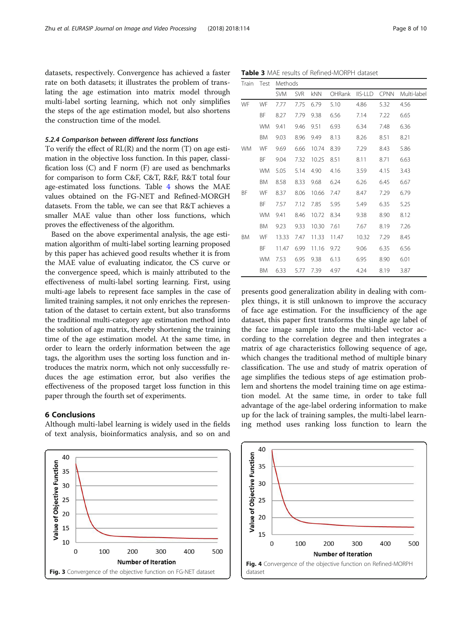<span id="page-7-0"></span>datasets, respectively. Convergence has achieved a faster rate on both datasets; it illustrates the problem of translating the age estimation into matrix model through multi-label sorting learning, which not only simplifies the steps of the age estimation model, but also shortens the construction time of the model.

# 5.2.4 Comparison between different loss functions

To verify the effect of RL(R) and the norm (T) on age estimation in the objective loss function. In this paper, classification loss (C) and F norm (F) are used as benchmarks for comparison to form C&F, C&T, R&F, R&T total four age-estimated loss functions. Table [4](#page-8-0) shows the MAE values obtained on the FG-NET and Refined-MORGH datasets. From the table, we can see that R&T achieves a smaller MAE value than other loss functions, which proves the effectiveness of the algorithm.

Based on the above experimental analysis, the age estimation algorithm of multi-label sorting learning proposed by this paper has achieved good results whether it is from the MAE value of evaluating indicator, the CS curve or the convergence speed, which is mainly attributed to the effectiveness of multi-label sorting learning. First, using multi-age labels to represent face samples in the case of limited training samples, it not only enriches the representation of the dataset to certain extent, but also transforms the traditional multi-category age estimation method into the solution of age matrix, thereby shortening the training time of the age estimation model. At the same time, in order to learn the orderly information between the age tags, the algorithm uses the sorting loss function and introduces the matrix norm, which not only successfully reduces the age estimation error, but also verifies the effectiveness of the proposed target loss function in this paper through the fourth set of experiments.

# 6 Conclusions

40

35

30 25

20

15

10

 $\Omega$ 

Value of Objective Function

Although multi-label learning is widely used in the fields of text analysis, bioinformatics analysis, and so on and



Table 3 MAE results of Refined-MORPH dataset

| Train     | Test      | Methods    |            |       |               |                |             |            |
|-----------|-----------|------------|------------|-------|---------------|----------------|-------------|------------|
|           |           | <b>SVM</b> | <b>SVR</b> | kNN   | <b>OHRank</b> | <b>IIS-LLD</b> | <b>CPNN</b> | Multi-labe |
| WF        | WF        | 7.77       | 7.75       | 6.79  | 5.10          | 4.86           | 5.32        | 4.56       |
|           | BF        | 8.27       | 7.79       | 9.38  | 6.56          | 7.14           | 7.22        | 6.65       |
|           | <b>WM</b> | 9.41       | 9.46       | 9.51  | 6.93          | 6.34           | 7.48        | 6.36       |
|           | <b>BM</b> | 9.03       | 8.96       | 9.49  | 8.13          | 8.26           | 8.51        | 8.21       |
| <b>WM</b> | WF        | 9.69       | 6.66       | 10.74 | 8.39          | 7.29           | 8.43        | 5.86       |
|           | BF        | 9.04       | 7.32       | 10.25 | 8.51          | 8.11           | 8.71        | 6.63       |
|           | <b>WM</b> | 5.05       | 5.14       | 4.90  | 4.16          | 3.59           | 4.15        | 3.43       |
|           | <b>BM</b> | 8.58       | 8.33       | 9.68  | 6.24          | 6.26           | 6.45        | 6.67       |
| <b>BF</b> | WF        | 8.37       | 8.06       | 10.66 | 7.47          | 8.47           | 7.29        | 6.79       |
|           | BF        | 7.57       | 7.12       | 7.85  | 5.95          | 5.49           | 6.35        | 5.25       |
|           | <b>WM</b> | 9.41       | 8.46       | 10.72 | 8.34          | 9.38           | 8.90        | 8.12       |
|           | BM        | 9.23       | 9.33       | 10.30 | 7.61          | 7.67           | 8.19        | 7.26       |
| ΒM        | WF        | 13.33      | 7.47       | 11.33 | 11.47         | 10.32          | 7.29        | 8.45       |
|           | BF        | 11.47      | 6.99       | 11.16 | 9.72          | 9.06           | 6.35        | 6.56       |
|           | <b>WM</b> | 7.53       | 6.95       | 9.38  | 6.13          | 6.95           | 8.90        | 6.01       |
|           | <b>BM</b> | 6.33       | 5.77       | 7.39  | 4.97          | 4.24           | 8.19        | 3.87       |

presents good generalization ability in dealing with complex things, it is still unknown to improve the accuracy of face age estimation. For the insufficiency of the age dataset, this paper first transforms the single age label of the face image sample into the multi-label vector according to the correlation degree and then integrates a matrix of age characteristics following sequence of age, which changes the traditional method of multiple binary classification. The use and study of matrix operation of age simplifies the tedious steps of age estimation problem and shortens the model training time on age estimation model. At the same time, in order to take full advantage of the age-label ordering information to make up for the lack of training samples, the multi-label learning method uses ranking loss function to learn the



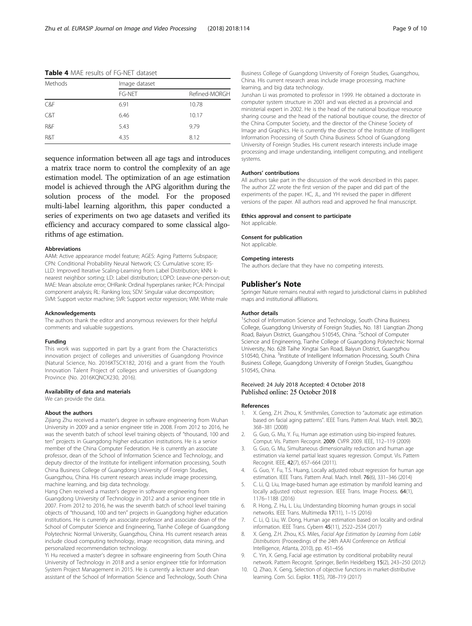| Methods | Image dataset |               |  |  |
|---------|---------------|---------------|--|--|
|         | <b>FG-NET</b> | Refined-MORGH |  |  |
| C&F     | 6.91          | 10.78         |  |  |
| C&T     | 6.46          | 10.17         |  |  |
| R&F     | 5.43          | 9.79          |  |  |
| R&T     | 4.35          | 8.12          |  |  |

<span id="page-8-0"></span>Table 4 MAE results of FG-NET dataset

sequence information between all age tags and introduces a matrix trace norm to control the complexity of an age estimation model. The optimization of an age estimation model is achieved through the APG algorithm during the solution process of the model. For the proposed multi-label learning algorithm, this paper conducted a series of experiments on two age datasets and verified its efficiency and accuracy compared to some classical algorithms of age estimation.

# Abbreviations

AAM: Active appearance model feature; AGES: Aging Patterns Subspace; CPN: Conditional Probability Neural Network; CS: Cumulative score; IIS-LLD: Improved Iterative Scaling-Learning from Label Distribution; kNN: knearest neighbor sorting; LD: Label distribution; LOPO: Leave-one-person-out; MAE: Mean absolute error; OHRank: Ordinal hyperplanes ranker; PCA: Principal component analysis; RL: Ranking loss; SDV: Singular value decomposition; SVM: Support vector machine; SVR: Support vector regression; WM: White male

#### Acknowledgements

The authors thank the editor and anonymous reviewers for their helpful comments and valuable suggestions.

#### Funding

This work was supported in part by a grant from the Characteristics innovation project of colleges and universities of Guangdong Province (Natural Science, No. 2016KTSCX182, 2016) and a grant from the Youth Innovation Talent Project of colleges and universities of Guangdong Province (No. 2016KQNCX230, 2016).

#### Availability of data and materials

We can provide the data.

#### About the authors

Zijiang Zhu received a master's degree in software engineering from Wuhan University in 2009 and a senior engineer title in 2008. From 2012 to 2016, he was the seventh batch of school level training objects of "thousand, 100 and ten" projects in Guangdong higher education institutions. He is a senior member of the China Computer Federation. He is currently an associate professor, dean of the School of Information Science and Technology, and deputy director of the Institute for intelligent information processing, South China Business College of Guangdong University of Foreign Studies, Guangzhou, China. His current research areas include image processing, machine learning, and big data technology.

Hang Chen received a master's degree in software engineering from Guangdong University of Technology in 2012 and a senior engineer title in 2007. From 2012 to 2016, he was the seventh batch of school level training objects of "thousand, 100 and ten" projects in Guangdong higher education institutions. He is currently an associate professor and associate dean of the School of Computer Science and Engineering, Tianhe College of Guangdong Polytechnic Normal University, Guangzhou, China. His current research areas include cloud computing technology, image recognition, data mining, and personalized recommendation technology.

Yi Hu received a master's degree in software engineering from South China University of Technology in 2018 and a senior engineer title for Information System Project Management in 2015. He is currently a lecturer and dean assistant of the School of Information Science and Technology, South China Business College of Guangdong University of Foreign Studies, Guangzhou, China. His current research areas include image processing, machine learning, and big data technology.

Junshan Li was promoted to professor in 1999. He obtained a doctorate in computer system structure in 2001 and was elected as a provincial and ministerial expert in 2002. He is the head of the national boutique resource sharing course and the head of the national boutique course, the director of the China Computer Society, and the director of the Chinese Society of Image and Graphics. He is currently the director of the Institute of Intelligent Information Processing of South China Business School of Guangdong University of Foreign Studies. His current research interests include image processing and image understanding, intelligent computing, and intelligent systems.

#### Authors' contributions

All authors take part in the discussion of the work described in this paper. The author ZZ wrote the first version of the paper and did part of the experiments of the paper. HC, JL, and YH revised the paper in different versions of the paper. All authors read and approved he final manuscript.

### Ethics approval and consent to participate

Not applicable.

#### Consent for publication

Not applicable.

#### Competing interests

The authors declare that they have no competing interests.

# Publisher's Note

Springer Nature remains neutral with regard to jurisdictional claims in published maps and institutional affiliations.

#### Author details

<sup>1</sup>School of Information Science and Technology, South China Business College, Guangdong University of Foreign Studies, No. 181 Liangtian Zhong Road, Baiyun District, Guangzhou 510545, China. <sup>2</sup>School of Computer Science and Engineering, Tianhe College of Guangdong Polytechnic Normal University, No. 628 Taihe Xingtai San Road, Baiyun District, Guangzhou 510540, China. <sup>3</sup>Institute of Intelligent Information Processing, South China Business College, Guangdong University of Foreign Studies, Guangzhou 510545, China.

# Received: 24 July 2018 Accepted: 4 October 2018 Published online: 25 October 2018

#### References

- X. Geng, Z.H. Zhou, K. Smithmiles, Correction to "automatic age estimation based on facial aging patterns". IEEE Trans. Pattern Anal. Mach. Intell. 30(2), 368–381 (2008)
- 2. G. Guo, G. Mu, Y. Fu, Human age estimation using bio-inspired features. Comput. Vis. Pattern Recognit. 2009. CVPR 2009. IEEE, 112–119 (2009)
- 3. G. Guo, G. Mu, Simultaneous dimensionality reduction and human age estimation via kernel partial least squares regression. Comput. Vis. Pattern Recognit. IEEE, 42(7), 657–664 (2011).
- 4. G. Guo, Y. Fu, T.S. Huang, Locally adjusted robust regression for human age estimation. IEEE Trans. Pattern Anal. Mach. Intell. 76(6), 331–346 (2014)
- 5. C. Li, Q. Liu, Image-based human age estimation by manifold learning and locally adjusted robust regression. IEEE Trans. Image Process. 64(1), 1176–1188 (2016)
- 6. R. Hong, Z. Hu, L. Liu, Understanding blooming human groups in social networks. IEEE Trans. Multimedia 17(11), 1–15 (2016)
- 7. C. Li, Q. Liu, W. Dong, Human age estimation based on locality and ordinal information. IEEE Trans. Cybern 45(11), 2522–2534 (2017)
- 8. X. Geng, Z.H. Zhou, K.S. Miles, Facial Age Estimation by Learning from Lable Distributions (Proceedings of the 24th AAAI Conference on Artificial Intelligence, Atlanta, 2010), pp. 451–456
- 9. C. Yin, X. Geng, Facial age estimation by conditional probability neural network. Pattern Recognit. Springer, Berlin Heidelberg 15(2), 243–250 (2012)
- 10. Q. Zhao, X. Geng, Selection of objective functions in market-distributive learning. Com. Sci. Explor. 11(5), 708–719 (2017)